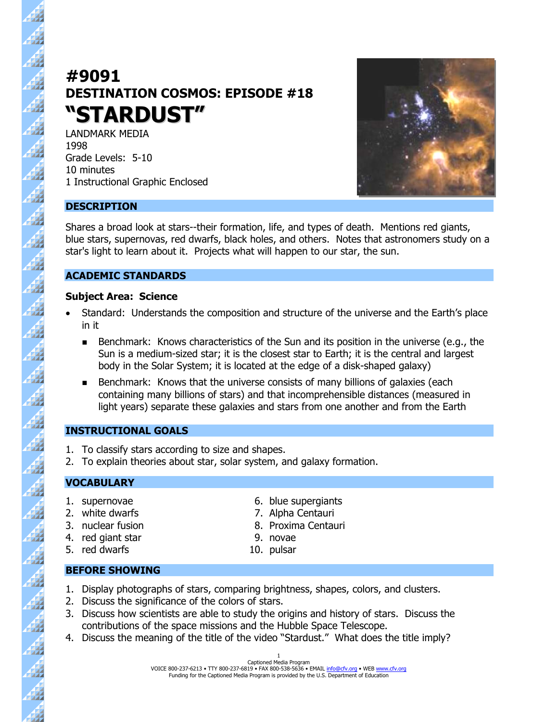# **#9091 DESTINATION COSMOS: EPISODE #18 "STARDUST"**

LANDMARK MEDIA 1998 Grade Levels: 5-10 10 minutes 1 Instructional Graphic Enclosed



# **DESCRIPTION**

 $\overline{\mathcal{H}}$ 

 $\overline{\mathcal{A}}$ 

44

44  $\frac{4}{3}$ 

Á

 $\frac{1}{2}$ 

 $\frac{4}{3}$ Æ Shares a broad look at stars--their formation, life, and types of death. Mentions red giants, blue stars, supernovas, red dwarfs, black holes, and others. Notes that astronomers study on a star's light to learn about it. Projects what will happen to our star, the sun.

# **ACADEMIC STANDARDS**

#### **Subject Area: Science**

- Standard: Understands the composition and structure of the universe and the Earth's place in it
	- Benchmark: Knows characteristics of the Sun and its position in the universe (e.g., the Sun is a medium-sized star; it is the closest star to Earth; it is the central and largest body in the Solar System; it is located at the edge of a disk-shaped galaxy)
	- $\blacksquare$ Benchmark: Knows that the universe consists of many billions of galaxies (each containing many billions of stars) and that incomprehensible distances (measured in light years) separate these galaxies and stars from one another and from the Earth

# **INSTRUCTIONAL GOALS**

- 1. To classify stars according to size and shapes.
- 2. To explain theories about star, solar system, and galaxy formation.

# **VOCABULARY**

- 
- 
- 
- 4. red giant star 9. novae
- 5. red dwarfs 10. pulsar
- 1. supernovae 6. blue supergiants
- 2. white dwarfs 2. Notified a 2. Alpha Centauri
- 3. nuclear fusion 8. Proxima Centauri
	-
	-

# **BEFORE SHOWING**

- 1. Display photographs of stars, comparing brightness, shapes, colors, and clusters.
- 2. Discuss the significance of the colors of stars.
- 3. Discuss how scientists are able to study the origins and history of stars. Discuss the contributions of the space missions and the Hubble Space Telescope.
- 4. Discuss the meaning of the title of the video "Stardust." What does the title imply?

Captioned Media Program VOICE 800-237-6213 • TTY 800-237-6819 • FAX 800-538-5636 • EMAIL info@cfv.org • WEB www.cfv.org Funding for the Captioned Media Program is provided by the U.S. Department of Education 1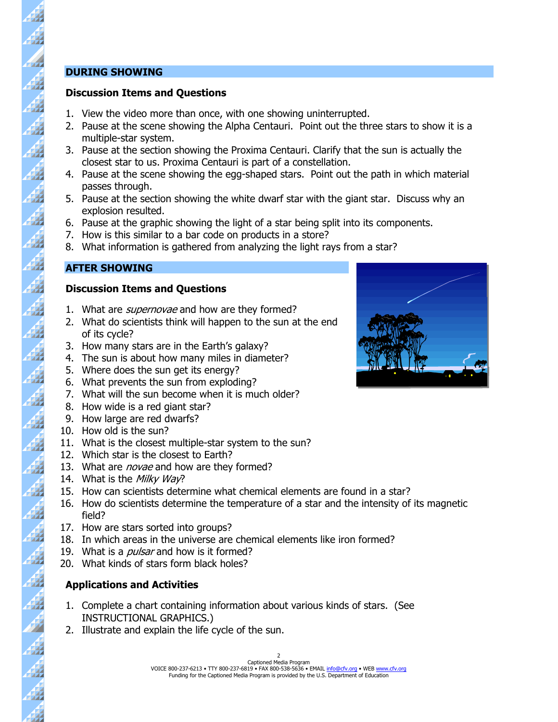#### **DURING SHOWING**

47

 $\vec{A}$ 

44

Á

47

47

44

44

47

222 42

47

47

 $\frac{4}{3}$ 

 $\frac{4}{3}$ 

43

**R** 

#### **Discussion Items and Questions**

- 1. View the video more than once, with one showing uninterrupted.
- 2. Pause at the scene showing the Alpha Centauri. Point out the three stars to show it is a multiple-star system.
- 3. Pause at the section showing the Proxima Centauri. Clarify that the sun is actually the closest star to us. Proxima Centauri is part of a constellation.
- 4. Pause at the scene showing the egg-shaped stars. Point out the path in which material passes through.
- 5. Pause at the section showing the white dwarf star with the giant star. Discuss why an explosion resulted.
- 6. Pause at the graphic showing the light of a star being split into its components.
- 7. How is this similar to a bar code on products in a store?
- 8. What information is gathered from analyzing the light rays from a star?

# **AFTER SHOWING**

#### **Discussion Items and Questions**

- 1. What are *supernovae* and how are they formed?
- 2. What do scientists think will happen to the sun at the end of its cycle?
- 3. How many stars are in the Earth's galaxy?
- 4. The sun is about how many miles in diameter?
- 5. Where does the sun get its energy?
- 6. What prevents the sun from exploding?
- 7. What will the sun become when it is much older?
- 8. How wide is a red giant star?
- 9. How large are red dwarfs?
- 10. How old is the sun?
- 11. What is the closest multiple-star system to the sun?
- 12. Which star is the closest to Earth?
- 13. What are *novae* and how are they formed?
- 14. What is the Milky Way?
- 15. How can scientists determine what chemical elements are found in a star?
- 16. How do scientists determine the temperature of a star and the intensity of its magnetic field?
- 17. How are stars sorted into groups?
- 18. In which areas in the universe are chemical elements like iron formed?
- 19. What is a *pulsar* and how is it formed?
- 20. What kinds of stars form black holes?

# **Applications and Activities**

- 1. Complete a chart containing information about various kinds of stars. (See INSTRUCTIONAL GRAPHICS.)
- 2. Illustrate and explain the life cycle of the sun.



Captioned Media Program VOICE 800-237-6213 • TTY 800-237-6819 • FAX 800-538-5636 • EMAIL info@cfv.org • WEB www.cfv.org Funding for the Captioned Media Program is provided by the U.S. Department of Education  $\overline{2}$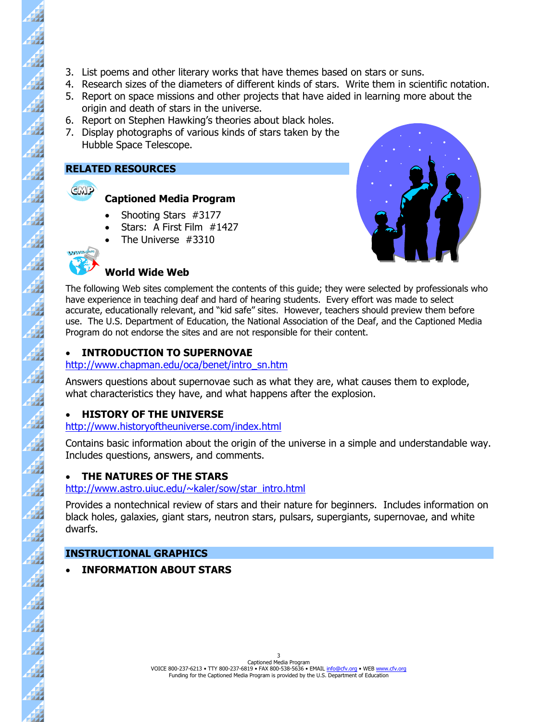- 3. List poems and other literary works that have themes based on stars or suns.
- 4. Research sizes of the diameters of different kinds of stars. Write them in scientific notation.
- 5. Report on space missions and other projects that have aided in learning more about the origin and death of stars in the universe.
- 6. Report on Stephen Hawking's theories about black holes.
- 7. Display photographs of various kinds of stars taken by the Hubble Space Telescope.

#### **RELATED RESOURCES**



47

 $\frac{4}{3}$ 

44

 $\vec{A}$ 

Á

4 4

47

42

 $\overline{A}$ 

Á

4

42

Á

 $\overline{\mathbf{A}}$ 

44

 $\overline{A}$ 

 $\overline{\mathcal{H}}$ 

 $\overline{A}$ 

47

- **Captioned Media Program**
- Shooting Stars #3177
- Stars: A First Film #1427
- The Universe #3310

# **World Wide Web**



The following Web sites complement the contents of this guide; they were selected by professionals who have experience in teaching deaf and hard of hearing students. Every effort was made to select accurate, educationally relevant, and "kid safe" sites. However, teachers should preview them before use. The U.S. Department of Education, the National Association of the Deaf, and the Captioned Media Program do not endorse the sites and are not responsible for their content.

# • **INTRODUCTION TO SUPERNOVAE**

#### [http://www.chapman.edu/oca/benet/intro\\_sn.htm](http://www.chapman.edu/oca/benet/intro_sn.htm)

Answers questions about supernovae such as what they are, what causes them to explode, what characteristics they have, and what happens after the explosion.

# • **HISTORY OF THE UNIVERSE**

# <http://www.historyoftheuniverse.com/index.html>

Contains basic information about the origin of the universe in a simple and understandable way. Includes questions, answers, and comments.

# • **THE NATURES OF THE STARS**

#### [http://www.astro.uiuc.edu/~kaler/sow/star\\_intro.html](http://www.astro.uiuc.edu/~kaler/sow/star_intro.html)

Provides a nontechnical review of stars and their nature for beginners. Includes information on black holes, galaxies, giant stars, neutron stars, pulsars, supergiants, supernovae, and white dwarfs.

# **INSTRUCTIONAL GRAPHICS**

• **INFORMATION ABOUT STARS**